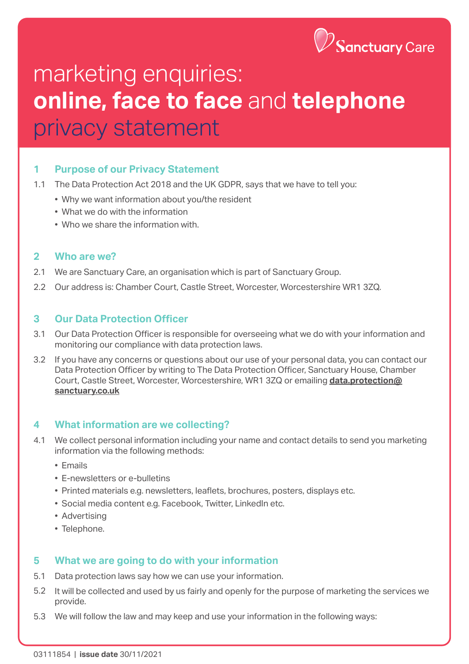

# marketing enquiries: **online, face to face** and **telephone**  privacy statement

#### **1 Purpose of our Privacy Statement**

- 1.1 The Data Protection Act 2018 and the UK GDPR, says that we have to tell you:
	- Why we want information about you/the resident
	- What we do with the information
	- Who we share the information with.

#### **2 Who are we?**

- 2.1 We are Sanctuary Care, an organisation which is part of Sanctuary Group.
- 2.2 Our address is: Chamber Court, Castle Street, Worcester, Worcestershire WR1 3ZQ.

#### **3 Our Data Protection Officer**

- 3.1 Our Data Protection Officer is responsible for overseeing what we do with your information and monitoring our compliance with data protection laws.
- 3.2 If you have any concerns or questions about our use of your personal data, you can contact our Data Protection Officer by writing to The Data Protection Officer, Sanctuary House, Chamber Court, Castle Street, Worcester, Worcestershire, WR1 3ZQ or emailing **[data.protection@](mailto:data.protection%40sanctuary.co.uk?subject=) [sanctuary.co.uk](mailto:data.protection%40sanctuary.co.uk?subject=)**

#### **4 What information are we collecting?**

- 4.1 We collect personal information including your name and contact details to send you marketing information via the following methods:
	- Emails
	- E-newsletters or e-bulletins
	- Printed materials e.g. newsletters, leaflets, brochures, posters, displays etc.
	- Social media content e.g. Facebook, Twitter, LinkedIn etc.
	- Advertising
	- Telephone.

#### **5 What we are going to do with your information**

- 5.1 Data protection laws say how we can use your information.
- 5.2 It will be collected and used by us fairly and openly for the purpose of marketing the services we provide.
- 5.3 We will follow the law and may keep and use your information in the following ways: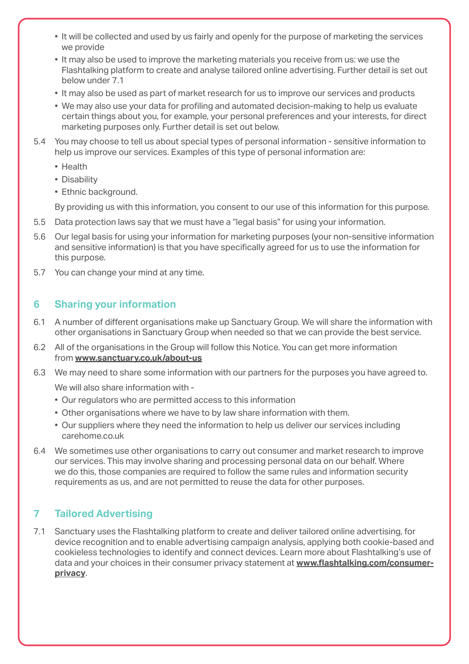- It will be collected and used by us fairly and openly for the purpose of marketing the services we provide
- It may also be used to improve the marketing materials you receive from us: we use the Flashtalking platform to create and analyse tailored online advertising. Further detail is set out below under 7.1
- It may also be used as part of market research for us to improve our services and products
- We may also use your data for profiling and automated decision-making to help us evaluate certain things about you, for example, your personal preferences and your interests, for direct marketing purposes only. Further detail is set out below.
- 5.4 You may choose to tell us about special types of personal information sensitive information to help us improve our services. Examples of this type of personal information are:
	- Health
	- Disability
	- Ethnic background.

By providing us with this information, you consent to our use of this information for this purpose.

- 5.5 Data protection laws say that we must have a "legal basis" for using your information.
- 5.6 Our legal basis for using your information for marketing purposes (your non-sensitive information and sensitive information) is that you have specifically agreed for us to use the information for this purpose.
- 5.7 You can change your mind at any time.

# **6 Sharing your information**

- 6.1 A number of different organisations make up Sanctuary Group. We will share the information with other organisations in Sanctuary Group when needed so that we can provide the best service.
- 6.2 All of the organisations in the Group will follow this Notice. You can get more information from **[www.sanctuary.co.uk/about-us](http://www.sanctuary.co.uk/about-us)**
- 6.3 We may need to share some information with our partners for the purposes you have agreed to.

We will also share information with -

- Our regulators who are permitted access to this information
- Other organisations where we have to by law share information with them.
- Our suppliers where they need the information to help us deliver our services including carehome.co.uk
- 6.4 We sometimes use other organisations to carry out consumer and market research to improve our services. This may involve sharing and processing personal data on our behalf. Where we do this, those companies are required to follow the same rules and information security requirements as us, and are not permitted to reuse the data for other purposes.

# **7 Tailored Advertising**

7.1 Sanctuary uses the Flashtalking platform to create and deliver tailored online advertising, for device recognition and to enable advertising campaign analysis, applying both cookie-based and cookieless technologies to identify and connect devices. Learn more about Flashtalking's use of data and your choices in their consumer privacy statement at **[www.flashtalking.com/consumer](http://www.flashtalking.com/consumer-privacy)[privacy](http://www.flashtalking.com/consumer-privacy)**.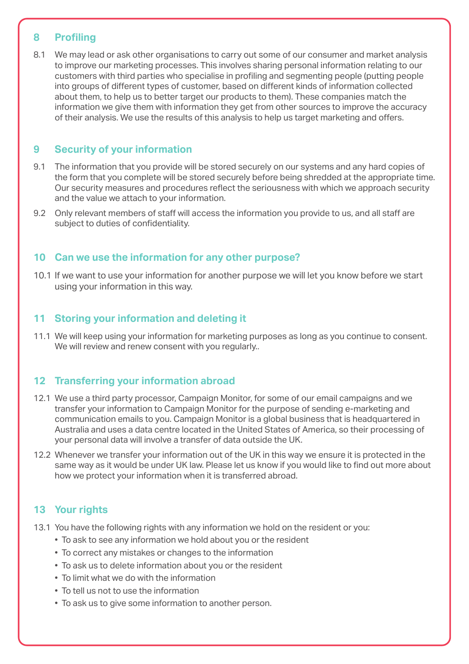## **8 Profiling**

8.1 We may lead or ask other organisations to carry out some of our consumer and market analysis to improve our marketing processes. This involves sharing personal information relating to our customers with third parties who specialise in profiling and segmenting people (putting people into groups of different types of customer, based on different kinds of information collected about them, to help us to better target our products to them). These companies match the information we give them with information they get from other sources to improve the accuracy of their analysis. We use the results of this analysis to help us target marketing and offers.

## **9 Security of your information**

- 9.1 The information that you provide will be stored securely on our systems and any hard copies of the form that you complete will be stored securely before being shredded at the appropriate time. Our security measures and procedures reflect the seriousness with which we approach security and the value we attach to your information.
- 9.2 Only relevant members of staff will access the information you provide to us, and all staff are subject to duties of confidentiality.

## **10 Can we use the information for any other purpose?**

10.1 If we want to use your information for another purpose we will let you know before we start using your information in this way.

## **11 Storing your information and deleting it**

11.1 We will keep using your information for marketing purposes as long as you continue to consent. We will review and renew consent with you regularly..

## **12 Transferring your information abroad**

- 12.1 We use a third party processor, Campaign Monitor, for some of our email campaigns and we transfer your information to Campaign Monitor for the purpose of sending e-marketing and communication emails to you. Campaign Monitor is a global business that is headquartered in Australia and uses a data centre located in the United States of America, so their processing of your personal data will involve a transfer of data outside the UK.
- 12.2 Whenever we transfer your information out of the UK in this way we ensure it is protected in the same way as it would be under UK law. Please let us know if you would like to find out more about how we protect your information when it is transferred abroad.

## **13 Your rights**

- 13.1 You have the following rights with any information we hold on the resident or you:
	- To ask to see any information we hold about you or the resident
	- To correct any mistakes or changes to the information
	- To ask us to delete information about you or the resident
	- To limit what we do with the information
	- To tell us not to use the information
	- To ask us to give some information to another person.